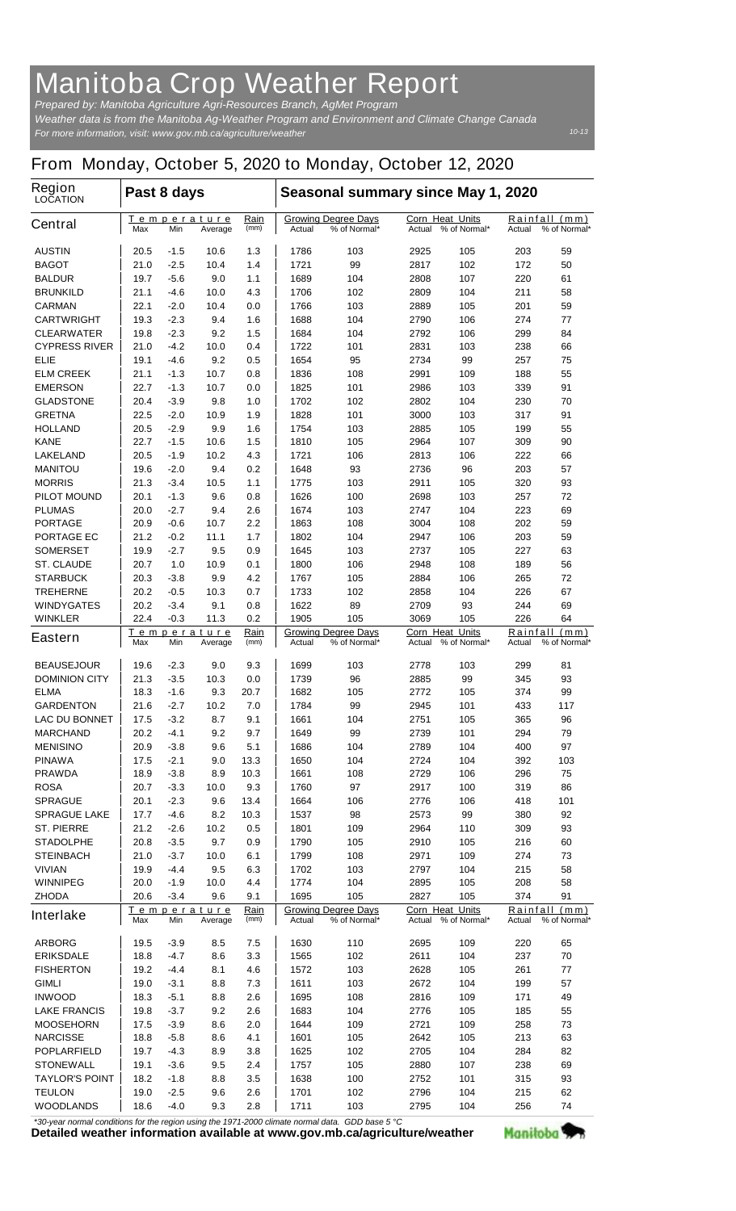## **Manitoba Crop Weather Report**

*For more information, visit: www.gov.mb.ca/agriculture/weather Prepared by: Manitoba Agriculture Agri-Resources Branch, AgMet Program Weather data is from the Manitoba Ag-Weather Program and Environment and Climate Change Canada*

## **From Monday, October 5, 2020 to Monday, October 12, 2020**

| <b>Region</b><br><b>LOCATION</b>        |                                             | Past 8 days                   |              |                                                      | Seasonal summary since May 1, 2020                   |                                                  |                                  |                                            |                                                   |            |  |
|-----------------------------------------|---------------------------------------------|-------------------------------|--------------|------------------------------------------------------|------------------------------------------------------|--------------------------------------------------|----------------------------------|--------------------------------------------|---------------------------------------------------|------------|--|
| <b>Central</b>                          | Max                                         | Temperature<br>Min<br>Average |              | <u>Rain</u><br>(mm)                                  | <b>Growing Degree Days</b><br>Actual<br>% of Normal* |                                                  | <b>Corn Heat Units</b><br>Actual | % of Normal*                               | <u>Rainfall</u><br>(mm)<br>Actual<br>% of Normal* |            |  |
| <b>AUSTIN</b>                           | 20.5                                        | -1.5                          | 10.6         | 1.3                                                  | 1786                                                 | 103                                              | 2925                             | 105                                        | 203                                               | 59         |  |
| <b>BAGOT</b>                            | 21.0                                        | $-2.5$                        | 10.4         | 1.4                                                  | 1721                                                 | 99                                               | 2817                             | 102                                        | 172                                               | 50         |  |
| <b>BALDUR</b>                           | 19.7                                        | $-5.6$                        | 9.0          | 1.1                                                  | 1689                                                 | 104                                              | 2808                             | 107                                        | 220                                               | 61         |  |
| <b>BRUNKILD</b>                         | 21.1                                        | -4.6                          | 10.0         | 4.3                                                  | 1706                                                 | 102                                              | 2809                             | 104                                        | 211                                               | 58         |  |
| <b>CARMAN</b>                           | 22.1                                        | -2.0                          | 10.4         | 0.0                                                  | 1766                                                 | 103                                              | 2889                             | 105                                        | 201                                               | 59         |  |
| <b>CARTWRIGHT</b><br><b>CLEARWATER</b>  | 19.3<br>19.8                                | $-2.3$<br>$-2.3$              | 9.4<br>9.2   | 1.6<br>1.5                                           | 1688<br>1684                                         | 104<br>104                                       | 2790<br>2792                     | 106<br>106                                 | 274<br>299                                        | 77<br>84   |  |
| <b>CYPRESS RIVER</b>                    | 21.0                                        | $-4.2$                        | 10.0         | 0.4                                                  | 1722                                                 | 101                                              | 2831                             | 103                                        | 238                                               | 66         |  |
| <b>ELIE</b>                             | 19.1                                        | -4.6                          | 9.2          | 0.5                                                  | 1654                                                 | 95                                               | 2734                             | 99                                         | 257                                               | 75         |  |
| <b>ELM CREEK</b>                        | 21.1                                        | $-1.3$                        | 10.7         | 0.8                                                  | 1836                                                 | 108                                              | 2991                             | 109                                        | 188                                               | 55         |  |
| <b>EMERSON</b>                          | 22.7                                        | $-1.3$                        | 10.7         | 0.0                                                  | 1825                                                 | 101                                              | 2986                             | 103                                        | 339                                               | 91         |  |
| <b>GLADSTONE</b>                        | 20.4                                        | $-3.9$                        | 9.8          | 1.0                                                  | 1702                                                 | 102                                              | 2802                             | 104                                        | 230                                               | 70         |  |
| <b>GRETNA</b>                           | 22.5                                        | -2.0                          | 10.9         | 1.9                                                  | 1828                                                 | 101                                              | 3000                             | 103                                        | 317                                               | 91         |  |
| <b>HOLLAND</b>                          | 20.5                                        | $-2.9$                        | 9.9          | 1.6                                                  | 1754                                                 | 103                                              | 2885                             | 105                                        | 199                                               | 55         |  |
| <b>KANE</b>                             | 22.7                                        | $-1.5$                        | 10.6         | 1.5                                                  | 1810                                                 | 105                                              | 2964                             | 107                                        | 309                                               | 90         |  |
| <b>LAKELAND</b><br><b>MANITOU</b>       | 20.5<br>19.6                                | $-1.9$<br>$-2.0$              | 10.2<br>9.4  | 4.3<br>0.2                                           | 1721<br>1648                                         | 106<br>93                                        | 2813<br>2736                     | 106<br>96                                  | 222<br>203                                        | 66<br>57   |  |
| <b>MORRIS</b>                           | 21.3                                        | $-3.4$                        | 10.5         | 1.1                                                  | 1775                                                 | 103                                              | 2911                             | 105                                        | 320                                               | 93         |  |
| <b>PILOT MOUND</b>                      | 20.1                                        | $-1.3$                        | 9.6          | 0.8                                                  | 1626                                                 | 100                                              | 2698                             | 103                                        | 257                                               | 72         |  |
| <b>PLUMAS</b>                           | 20.0                                        | $-2.7$                        | 9.4          | 2.6                                                  | 1674                                                 | 103                                              | 2747                             | 104                                        | 223                                               | 69         |  |
| <b>PORTAGE</b>                          | 20.9                                        | -0.6                          | 10.7         | 2.2                                                  | 1863                                                 | 108                                              | 3004                             | 108                                        | 202                                               | 59         |  |
| <b>PORTAGE EC</b>                       | 21.2                                        | -0.2                          | 11.1         | 1.7                                                  | 1802                                                 | 104                                              | 2947                             | 106                                        | 203                                               | 59         |  |
| <b>SOMERSET</b>                         | 19.9                                        | -2.7                          | 9.5          | 0.9                                                  | 1645                                                 | 103                                              | 2737                             | 105                                        | 227                                               | 63         |  |
| <b>ST. CLAUDE</b>                       | 20.7                                        | 1.0                           | 10.9         | 0.1                                                  | 1800                                                 | 106                                              | 2948                             | 108                                        | 189                                               | 56         |  |
| <b>STARBUCK</b>                         | 20.3                                        | $-3.8$                        | 9.9          | 4.2                                                  | 1767                                                 | 105                                              | 2884                             | 106                                        | 265                                               | 72         |  |
| <b>TREHERNE</b>                         | 20.2                                        | -0.5                          | 10.3         | 0.7                                                  | 1733                                                 | 102                                              | 2858                             | 104                                        | 226                                               | 67         |  |
| <b>WINDYGATES</b>                       | 20.2                                        | $-3.4$                        | 9.1          | 0.8                                                  | 1622                                                 | 89                                               | 2709                             | 93                                         | 244                                               | 69         |  |
| <b>WINKLER</b>                          | 22.4                                        | $-0.3$                        | 11.3         | 0.2<br>Rain                                          | 1905                                                 | 105                                              | 3069                             | 105                                        | 226<br>Rainfall                                   | 64<br>(mm) |  |
| <b>Eastern</b>                          | Temperature<br>Max<br>Min<br>Average        |                               | (mm)         | <b>Growing Degree Days</b><br>% of Normal*<br>Actual |                                                      | <b>Corn Heat Units</b><br>% of Normal*<br>Actual |                                  | % of Normal*<br>Actual                     |                                                   |            |  |
| <b>BEAUSEJOUR</b>                       | 19.6                                        | -2.3                          | 9.0          | 9.3                                                  | 1699                                                 | 103                                              | 2778                             | 103                                        | 299                                               | 81         |  |
| <b>DOMINION CITY</b>                    | 21.3                                        | -3.5                          | 10.3         | 0.0                                                  | 1739                                                 | 96                                               | 2885                             | 99                                         | 345                                               | 93         |  |
| <b>ELMA</b>                             | 18.3                                        | $-1.6$                        | 9.3          | 20.7                                                 | 1682                                                 | 105                                              | 2772                             | 105                                        | 374                                               | 99         |  |
| <b>GARDENTON</b>                        | 21.6                                        | -2.7                          | 10.2         | 7.0                                                  | 1784                                                 | 99                                               | 2945                             | 101                                        | 433                                               | 117        |  |
| <b>LAC DU BONNET</b><br><b>MARCHAND</b> | 17.5<br>20.2                                | $-3.2$<br>-4.1                | 8.7<br>9.2   | 9.1<br>9.7                                           | 1661<br>1649                                         | 104<br>99                                        | 2751<br>2739                     | 105<br>101                                 | 365<br>294                                        | 96<br>79   |  |
| <b>MENISINO</b>                         | 20.9                                        | $-3.8$                        | 9.6          | 5.1                                                  | 1686                                                 | 104                                              | 2789                             | 104                                        | 400                                               | 97         |  |
| <b>PINAWA</b>                           | 17.5                                        | $-2.1$                        | 9.0          | 13.3                                                 | 1650                                                 | 104                                              | 2724                             | 104                                        | 392                                               | 103        |  |
| <b>PRAWDA</b>                           | 18.9                                        | $-3.8$                        | 8.9          | 10.3                                                 | 1661                                                 | 108                                              | 2729                             | 106                                        | 296                                               | 75         |  |
| <b>ROSA</b>                             | 20.7                                        | $-3.3$                        | 10.0         | 9.3                                                  | 1760                                                 | 97                                               | 2917                             | 100                                        | 319                                               | 86         |  |
| <b>SPRAGUE</b>                          | 20.1                                        | $-2.3$                        | 9.6          | 13.4                                                 | 1664                                                 | 106                                              | 2776                             | 106                                        | 418                                               | 101        |  |
| <b>SPRAGUE LAKE</b>                     | 17.7                                        | $-4.6$                        | 8.2          | 10.3                                                 | 1537                                                 | 98                                               | 2573                             | 99                                         | 380                                               | 92         |  |
| <b>ST. PIERRE</b>                       | 21.2                                        | -2.6                          | 10.2         | 0.5                                                  | 1801                                                 | 109                                              | 2964                             | 110                                        | 309                                               | 93         |  |
| <b>STADOLPHE</b>                        | 20.8                                        | $-3.5$                        | 9.7          | 0.9                                                  | 1790                                                 | 105                                              | 2910                             | 105                                        | 216                                               | 60         |  |
| <b>STEINBACH</b>                        | 21.0                                        | -3.7                          | 10.0         | 6.1                                                  | 1799                                                 | 108                                              | 2971                             | 109                                        | 274                                               | 73         |  |
| <b>VIVIAN</b>                           | 19.9                                        | -4.4                          | 9.5          | 6.3                                                  | 1702                                                 | 103                                              | 2797                             | 104                                        | 215                                               | 58         |  |
| <b>WINNIPEG</b><br><b>ZHODA</b>         | 20.0<br>20.6                                | $-1.9$<br>$-3.4$              | 10.0<br>9.6  | 4.4<br>9.1                                           | 1774<br>1695                                         | 104<br>105                                       | 2895<br>2827                     | 105<br>105                                 | 208<br>374                                        | 58<br>91   |  |
| <b>Interlake</b>                        | <b>Temperature</b><br>Min<br>Max<br>Average |                               | Rain<br>(mm) | <b>Growing Degree Days</b><br>% of Normal*<br>Actual |                                                      | <b>Corn Heat Units</b><br>Actual % of Normal*    |                                  | Rainfall<br>(mm)<br>% of Normal*<br>Actual |                                                   |            |  |
| <b>ARBORG</b>                           | 19.5                                        | $-3.9$                        | 8.5          | 7.5                                                  | 1630                                                 | 110                                              | 2695                             | 109                                        | 220                                               | 65         |  |
| <b>ERIKSDALE</b>                        | 18.8                                        | $-4.7$                        | 8.6          | 3.3                                                  | 1565                                                 | 102                                              | 2611                             | 104                                        | 237                                               | 70         |  |
| <b>FISHERTON</b>                        | 19.2                                        | $-4.4$                        | 8.1          | 4.6                                                  | 1572                                                 | 103                                              | 2628                             | 105                                        | 261                                               | 77         |  |
| <b>GIMLI</b>                            | 19.0                                        | $-3.1$                        | 8.8          | 7.3                                                  | 1611                                                 | 103                                              | 2672                             | 104                                        | 199                                               | 57         |  |
| <b>INWOOD</b>                           | 18.3                                        | $-5.1$                        | 8.8          | 2.6                                                  | 1695                                                 | 108                                              | 2816                             | 109                                        | 171                                               | 49         |  |
| <b>LAKE FRANCIS</b>                     | 19.8                                        | $-3.7$                        | 9.2          | 2.6                                                  | 1683                                                 | 104                                              | 2776                             | 105                                        | 185                                               | 55         |  |
| <b>MOOSEHORN</b>                        | 17.5                                        | $-3.9$                        | 8.6          | 2.0                                                  | 1644                                                 | 109                                              | 2721                             | 109                                        | 258                                               | 73         |  |
| <b>NARCISSE</b>                         | 18.8                                        | $-5.8$                        | 8.6          | 4.1                                                  | 1601                                                 | 105                                              | 2642                             | 105                                        | 213                                               | 63         |  |
| <b>POPLARFIELD</b><br><b>STONEWALL</b>  | 19.7<br>19.1                                | $-4.3$<br>$-3.6$              | 8.9<br>9.5   | 3.8<br>2.4                                           | 1625<br>1757                                         | 102<br>105                                       | 2705<br>2880                     | 104<br>107                                 | 284<br>238                                        | 82<br>69   |  |
| <b>TAYLOR'S POINT</b>                   | 18.2                                        | $-1.8$                        | 8.8          | 3.5                                                  | 1638                                                 | 100                                              | 2752                             | 101                                        | 315                                               | 93         |  |
| <b>TEULON</b>                           | 19.0                                        | $-2.5$                        | 9.6          | 2.6                                                  | 1701                                                 | 102                                              | 2796                             | 104                                        | 215                                               | 62         |  |
| <b>WOODLANDS</b>                        | 18.6                                        | $-4.0$                        | 9.3          | 2.8                                                  | 1711                                                 | 103                                              | 2795                             | 104                                        | 256                                               | 74         |  |

*\*30-year normal conditions for the region using the 1971-2000 climate normal data. GDD base 5 °C*<br>Detailed weather information available at www.gov.mb.ca/agriculture/weather

Manitoba<sup>y</sup>